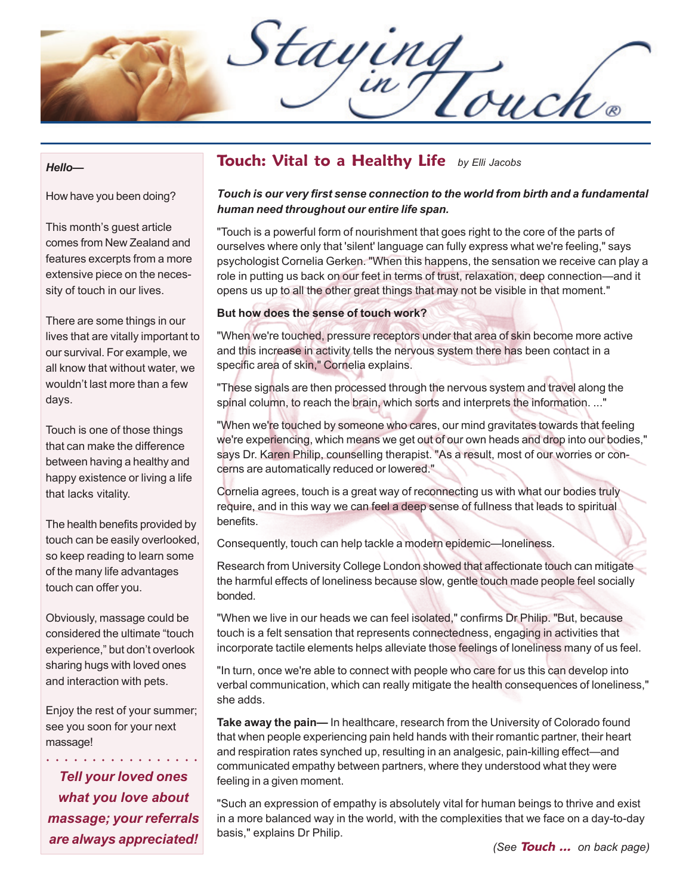Staying

#### *Hello—*

How have you been doing?

This month's guest article comes from New Zealand and features excerpts from a more extensive piece on the necessity of touch in our lives.

There are some things in our lives that are vitally important to our survival. For example, we all know that without water, we wouldn't last more than a few days.

Touch is one of those things that can make the difference between having a healthy and happy existence or living a life that lacks vitality.

The health benefits provided by touch can be easily overlooked, so keep reading to learn some of the many life advantages touch can offer you.

Obviously, massage could be considered the ultimate "touch experience," but don't overlook sharing hugs with loved ones and interaction with pets.

Enjoy the rest of your summer; see you soon for your next massage!

○○○○ ○○○○○○○○○○○○○

*Tell your loved ones what you love about massage; your referrals are always appreciated!*

## **Touch: Vital to a Healthy Life** *by Elli Jacobs*

#### *Touch is our very first sense connection to the world from birth and a fundamental human need throughout our entire life span.*

"Touch is a powerful form of nourishment that goes right to the core of the parts of ourselves where only that 'silent' language can fully express what we're feeling," says psychologist Cornelia Gerken. "When this happens, the sensation we receive can play a role in putting us back on our feet in terms of trust, relaxation, deep connection—and it opens us up to all the other great things that may not be visible in that moment."

#### **But how does the sense of touch work?**

"When we're touched, pressure receptors under that area of skin become more active and this increase in activity tells the nervous system there has been contact in a specific area of skin," Cornelia explains.

"These signals are then processed through the nervous system and travel along the spinal column, to reach the brain, which sorts and interprets the information. ..."

"When we're touched by someone who cares, our mind gravitates towards that feeling we're experiencing, which means we get out of our own heads and drop into our bodies," says Dr. Karen Philip, counselling therapist. "As a result, most of our worries or concerns are automatically reduced or lowered."

Cornelia agrees, touch is a great way of reconnecting us with what our bodies truly require, and in this way we can feel a deep sense of fullness that leads to spiritual benefits.

Consequently, touch can help tackle a modern epidemic—loneliness.

Research from University College London showed that affectionate touch can mitigate the harmful effects of loneliness because slow, gentle touch made people feel socially bonded.

"When we live in our heads we can feel isolated," confirms Dr Philip. "But, because touch is a felt sensation that represents connectedness, engaging in activities that incorporate tactile elements helps alleviate those feelings of loneliness many of us feel.

"In turn, once we're able to connect with people who care for us this can develop into verbal communication, which can really mitigate the health consequences of loneliness," she adds.

**Take away the pain—** In healthcare, research from the University of Colorado found that when people experiencing pain held hands with their romantic partner, their heart and respiration rates synched up, resulting in an analgesic, pain-killing effect—and communicated empathy between partners, where they understood what they were feeling in a given moment.

"Such an expression of empathy is absolutely vital for human beings to thrive and exist in a more balanced way in the world, with the complexities that we face on a day-to-day basis," explains Dr Philip.